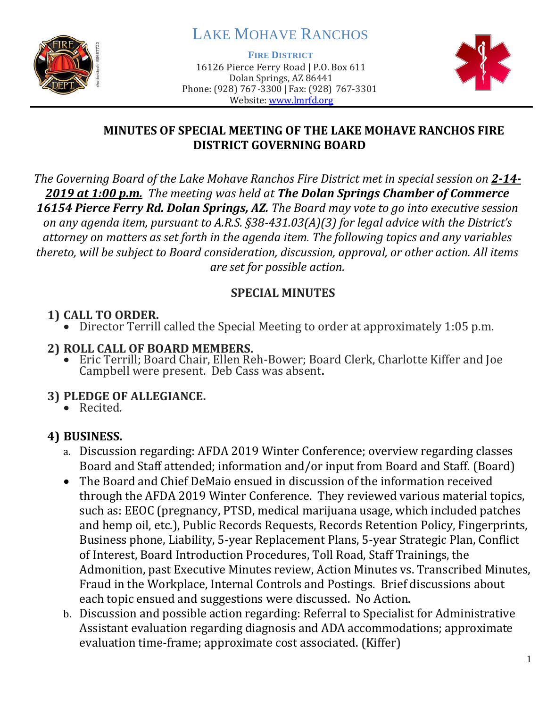

# LAKE MOHAVE RANCHOS

**FIRE DISTRICT**

16126 Pierce Ferry Road | P.O. Box 611 Dolan Springs, AZ 86441 Phone: (928) 767-3300 | Fax: (928) 767-3301 Website: [www.lmrfd.org](http://www.lmrfd.org/)



#### **MINUTES OF SPECIAL MEETING OF THE LAKE MOHAVE RANCHOS FIRE DISTRICT GOVERNING BOARD**

*The Governing Board of the Lake Mohave Ranchos Fire District met in special session on 2-14- 2019 at 1:00 p.m. The meeting was held at The Dolan Springs Chamber of Commerce 16154 Pierce Ferry Rd. Dolan Springs, AZ. The Board may vote to go into executive session on any agenda item, pursuant to A.R.S. §38-431.03(A)(3) for legal advice with the District's attorney on matters as set forth in the agenda item. The following topics and any variables thereto, will be subject to Board consideration, discussion, approval, or other action. All items are set for possible action.*

#### **SPECIAL MINUTES**

# **1) CALL TO ORDER.**

• Director Terrill called the Special Meeting to order at approximately 1:05 p.m.

### **2) ROLL CALL OF BOARD MEMBERS.**

• Eric Terrill; Board Chair, Ellen Reh-Bower; Board Clerk, Charlotte Kiffer and Joe Campbell were present. Deb Cass was absent**.** 

# **3) PLEDGE OF ALLEGIANCE.**

• Recited.

# **4) BUSINESS.**

- a. Discussion regarding: AFDA 2019 Winter Conference; overview regarding classes Board and Staff attended; information and/or input from Board and Staff. (Board)
- The Board and Chief DeMaio ensued in discussion of the information received through the AFDA 2019 Winter Conference. They reviewed various material topics, such as: EEOC (pregnancy, PTSD, medical marijuana usage, which included patches and hemp oil, etc.), Public Records Requests, Records Retention Policy, Fingerprints, Business phone, Liability, 5-year Replacement Plans, 5-year Strategic Plan, Conflict of Interest, Board Introduction Procedures, Toll Road, Staff Trainings, the Admonition, past Executive Minutes review, Action Minutes vs. Transcribed Minutes, Fraud in the Workplace, Internal Controls and Postings. Brief discussions about each topic ensued and suggestions were discussed. No Action.
- b. Discussion and possible action regarding: Referral to Specialist for Administrative Assistant evaluation regarding diagnosis and ADA accommodations; approximate evaluation time-frame; approximate cost associated. (Kiffer)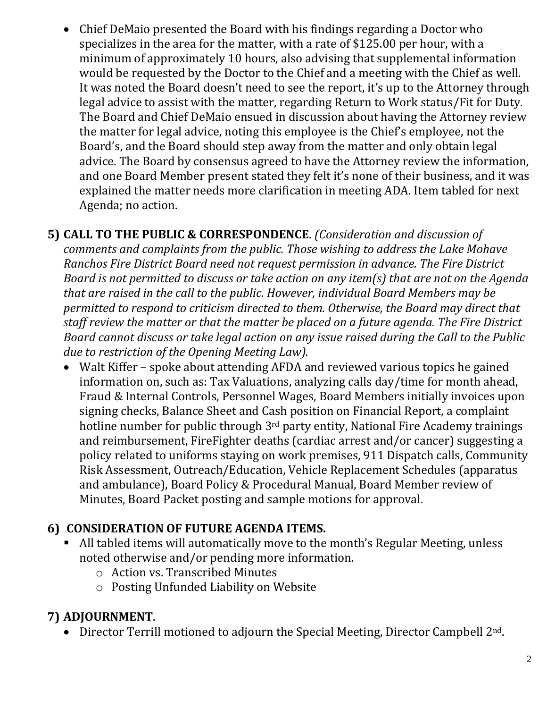• Chief DeMaio presented the Board with his findings regarding a Doctor who specializes in the area for the matter, with a rate of \$125.00 per hour, with a minimum of approximately 10 hours, also advising that supplemental information would be requested by the Doctor to the Chief and a meeting with the Chief as well. It was noted the Board doesn't need to see the report, it's up to the Attorney through legal advice to assist with the matter, regarding Return to Work status/Fit for Duty. The Board and Chief DeMaio ensued in discussion about having the Attorney review the matter for legal advice, noting this employee is the Chief's employee, not the Board's, and the Board should step away from the matter and only obtain legal advice. The Board by consensus agreed to have the Attorney review the information, and one Board Member present stated they felt it's none of their business, and it was explained the matter needs more clarification in meeting ADA. Item tabled for next Agenda; no action.

**5) CALL TO THE PUBLIC & CORRESPONDENCE**. *(Consideration and discussion of comments and complaints from the public. Those wishing to address the Lake Mohave Ranchos Fire District Board need not request permission in advance. The Fire District Board is not permitted to discuss or take action on any item(s) that are not on the Agenda that are raised in the call to the public. However, individual Board Members may be permitted to respond to criticism directed to them. Otherwise, the Board may direct that staff review the matter or that the matter be placed on a future agenda. The Fire District Board cannot discuss or take legal action on any issue raised during the Call to the Public due to restriction of the Opening Meeting Law).*

• Walt Kiffer – spoke about attending AFDA and reviewed various topics he gained information on, such as: Tax Valuations, analyzing calls day/time for month ahead, Fraud & Internal Controls, Personnel Wages, Board Members initially invoices upon signing checks, Balance Sheet and Cash position on Financial Report, a complaint hotline number for public through 3<sup>rd</sup> party entity, National Fire Academy trainings and reimbursement, FireFighter deaths (cardiac arrest and/or cancer) suggesting a policy related to uniforms staying on work premises, 911 Dispatch calls, Community Risk Assessment, Outreach/Education, Vehicle Replacement Schedules (apparatus and ambulance), Board Policy & Procedural Manual, Board Member review of Minutes, Board Packet posting and sample motions for approval.

# **6) CONSIDERATION OF FUTURE AGENDA ITEMS.**

- All tabled items will automatically move to the month's Regular Meeting, unless noted otherwise and/or pending more information.
	- o Action vs. Transcribed Minutes
	- o Posting Unfunded Liability on Website

# **7) ADJOURNMENT**.

• Director Terrill motioned to adjourn the Special Meeting, Director Campbell 2<sup>nd</sup>.